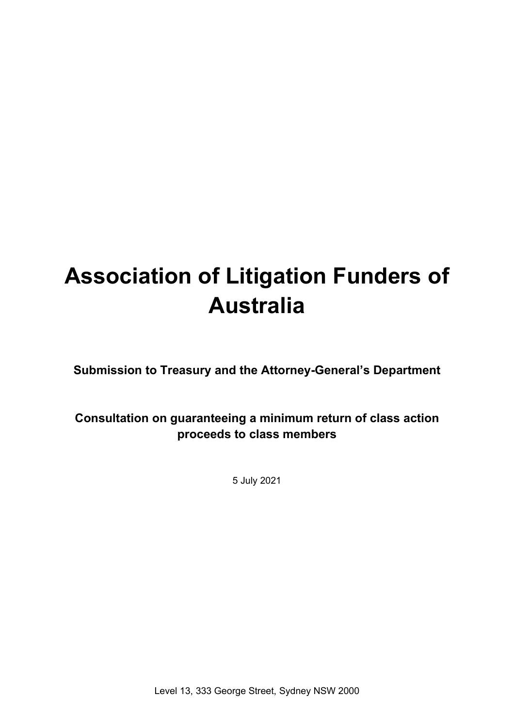# **Association of Litigation Funders of Australia**

**Submission to Treasury and the Attorney-General's Department**

# **Consultation on guaranteeing a minimum return of class action proceeds to class members**

5 July 2021

Level 13, 333 George Street, Sydney NSW 2000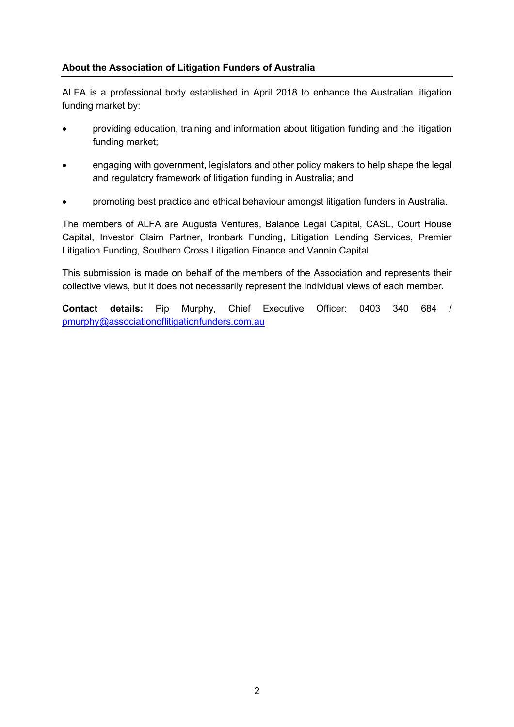#### **About the Association of Litigation Funders of Australia**

ALFA is a professional body established in April 2018 to enhance the Australian litigation funding market by:

- providing education, training and information about litigation funding and the litigation funding market;
- engaging with government, legislators and other policy makers to help shape the legal and regulatory framework of litigation funding in Australia; and
- promoting best practice and ethical behaviour amongst litigation funders in Australia.

The members of ALFA are Augusta Ventures, Balance Legal Capital, CASL, Court House Capital, Investor Claim Partner, Ironbark Funding, Litigation Lending Services, Premier Litigation Funding, Southern Cross Litigation Finance and Vannin Capital.

This submission is made on behalf of the members of the Association and represents their collective views, but it does not necessarily represent the individual views of each member.

**Contact details:** Pip Murphy, Chief Executive Officer: 0403 340 684 / [pmurphy@associationoflitigationfunders.com.au](mailto:pmurphy@associationoflitigationfunders.com.au)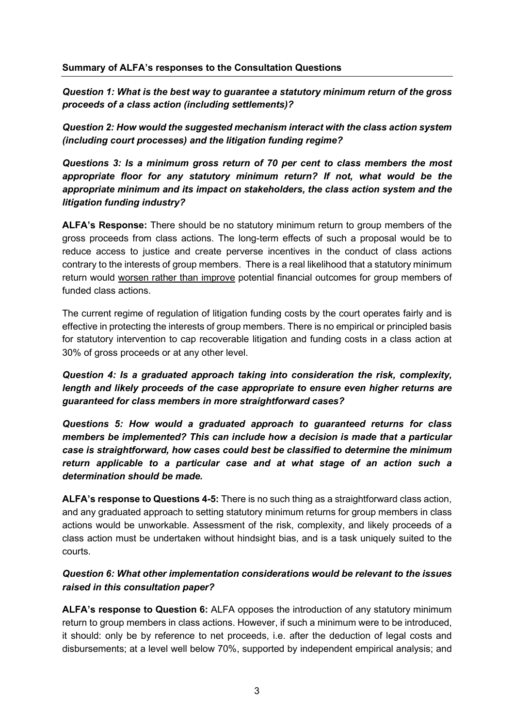*Question 1: What is the best way to guarantee a statutory minimum return of the gross proceeds of a class action (including settlements)?* 

*Question 2: How would the suggested mechanism interact with the class action system (including court processes) and the litigation funding regime?*

*Questions 3: Is a minimum gross return of 70 per cent to class members the most appropriate floor for any statutory minimum return? If not, what would be the appropriate minimum and its impact on stakeholders, the class action system and the litigation funding industry?* 

**ALFA's Response:** There should be no statutory minimum return to group members of the gross proceeds from class actions. The long-term effects of such a proposal would be to reduce access to justice and create perverse incentives in the conduct of class actions contrary to the interests of group members. There is a real likelihood that a statutory minimum return would worsen rather than improve potential financial outcomes for group members of funded class actions.

The current regime of regulation of litigation funding costs by the court operates fairly and is effective in protecting the interests of group members. There is no empirical or principled basis for statutory intervention to cap recoverable litigation and funding costs in a class action at 30% of gross proceeds or at any other level.

*Question 4: Is a graduated approach taking into consideration the risk, complexity, length and likely proceeds of the case appropriate to ensure even higher returns are guaranteed for class members in more straightforward cases?* 

*Questions 5: How would a graduated approach to guaranteed returns for class members be implemented? This can include how a decision is made that a particular case is straightforward, how cases could best be classified to determine the minimum return applicable to a particular case and at what stage of an action such a determination should be made.*

**ALFA's response to Questions 4-5:** There is no such thing as a straightforward class action, and any graduated approach to setting statutory minimum returns for group members in class actions would be unworkable. Assessment of the risk, complexity, and likely proceeds of a class action must be undertaken without hindsight bias, and is a task uniquely suited to the courts.

#### *Question 6: What other implementation considerations would be relevant to the issues raised in this consultation paper?*

**ALFA's response to Question 6:** ALFA opposes the introduction of any statutory minimum return to group members in class actions. However, if such a minimum were to be introduced, it should: only be by reference to net proceeds, i.e. after the deduction of legal costs and disbursements; at a level well below 70%, supported by independent empirical analysis; and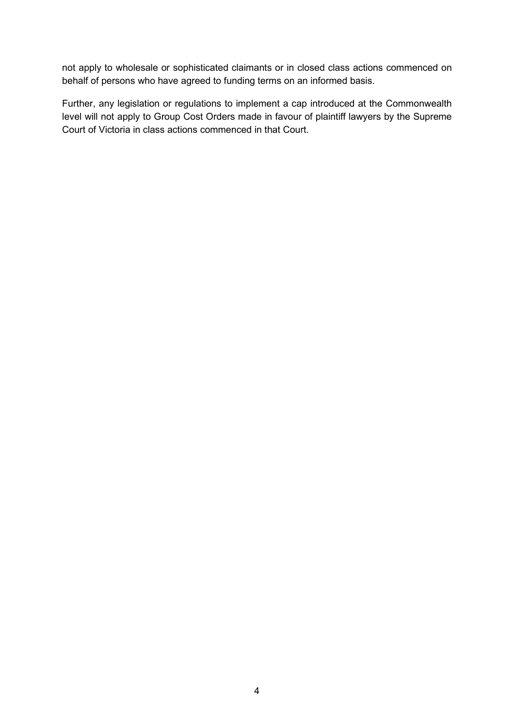not apply to wholesale or sophisticated claimants or in closed class actions commenced on behalf of persons who have agreed to funding terms on an informed basis.

Further, any legislation or regulations to implement a cap introduced at the Commonwealth level will not apply to Group Cost Orders made in favour of plaintiff lawyers by the Supreme Court of Victoria in class actions commenced in that Court.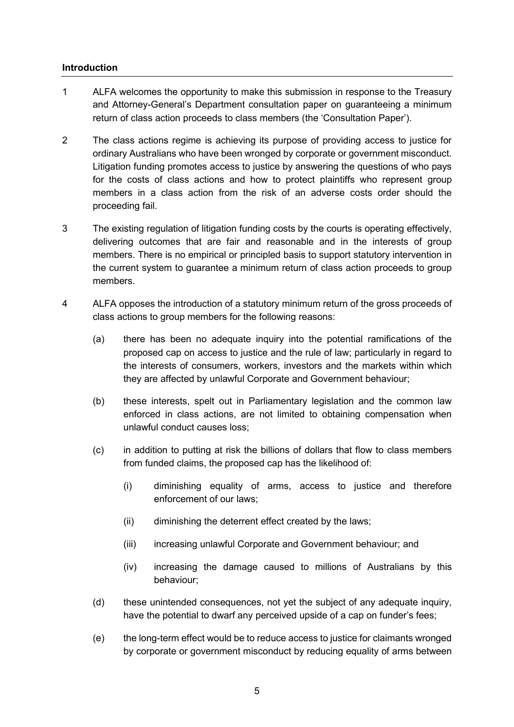#### **Introduction**

- 1 ALFA welcomes the opportunity to make this submission in response to the Treasury and Attorney-General's Department consultation paper on guaranteeing a minimum return of class action proceeds to class members (the 'Consultation Paper').
- 2 The class actions regime is achieving its purpose of providing access to justice for ordinary Australians who have been wronged by corporate or government misconduct. Litigation funding promotes access to justice by answering the questions of who pays for the costs of class actions and how to protect plaintiffs who represent group members in a class action from the risk of an adverse costs order should the proceeding fail.
- 3 The existing regulation of litigation funding costs by the courts is operating effectively, delivering outcomes that are fair and reasonable and in the interests of group members. There is no empirical or principled basis to support statutory intervention in the current system to guarantee a minimum return of class action proceeds to group members.
- 4 ALFA opposes the introduction of a statutory minimum return of the gross proceeds of class actions to group members for the following reasons:
	- (a) there has been no adequate inquiry into the potential ramifications of the proposed cap on access to justice and the rule of law; particularly in regard to the interests of consumers, workers, investors and the markets within which they are affected by unlawful Corporate and Government behaviour;
	- (b) these interests, spelt out in Parliamentary legislation and the common law enforced in class actions, are not limited to obtaining compensation when unlawful conduct causes loss;
	- (c) in addition to putting at risk the billions of dollars that flow to class members from funded claims, the proposed cap has the likelihood of:
		- (i) diminishing equality of arms, access to justice and therefore enforcement of our laws;
		- (ii) diminishing the deterrent effect created by the laws;
		- (iii) increasing unlawful Corporate and Government behaviour; and
		- (iv) increasing the damage caused to millions of Australians by this behaviour;
	- (d) these unintended consequences, not yet the subject of any adequate inquiry, have the potential to dwarf any perceived upside of a cap on funder's fees;
	- (e) the long-term effect would be to reduce access to justice for claimants wronged by corporate or government misconduct by reducing equality of arms between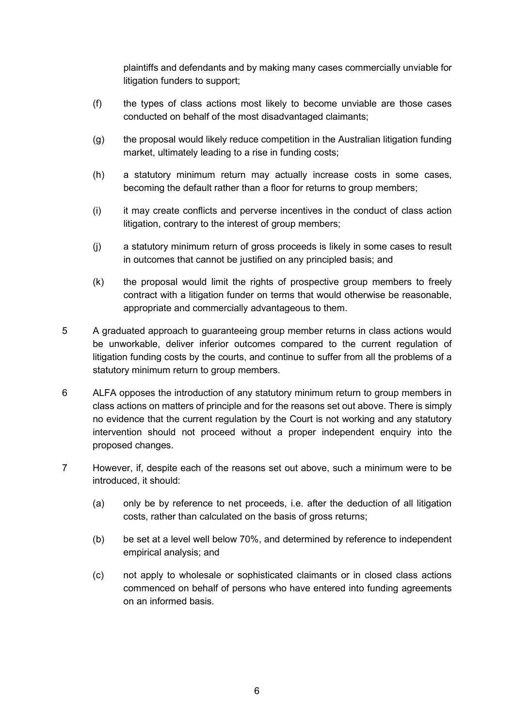plaintiffs and defendants and by making many cases commercially unviable for litigation funders to support;

- (f) the types of class actions most likely to become unviable are those cases conducted on behalf of the most disadvantaged claimants;
- (g) the proposal would likely reduce competition in the Australian litigation funding market, ultimately leading to a rise in funding costs;
- (h) a statutory minimum return may actually increase costs in some cases, becoming the default rather than a floor for returns to group members;
- (i) it may create conflicts and perverse incentives in the conduct of class action litigation, contrary to the interest of group members;
- (j) a statutory minimum return of gross proceeds is likely in some cases to result in outcomes that cannot be justified on any principled basis; and
- (k) the proposal would limit the rights of prospective group members to freely contract with a litigation funder on terms that would otherwise be reasonable, appropriate and commercially advantageous to them.
- 5 A graduated approach to guaranteeing group member returns in class actions would be unworkable, deliver inferior outcomes compared to the current regulation of litigation funding costs by the courts, and continue to suffer from all the problems of a statutory minimum return to group members.
- 6 ALFA opposes the introduction of any statutory minimum return to group members in class actions on matters of principle and for the reasons set out above. There is simply no evidence that the current regulation by the Court is not working and any statutory intervention should not proceed without a proper independent enquiry into the proposed changes.
- 7 However, if, despite each of the reasons set out above, such a minimum were to be introduced, it should:
	- (a) only be by reference to net proceeds, i.e. after the deduction of all litigation costs, rather than calculated on the basis of gross returns;
	- (b) be set at a level well below 70%, and determined by reference to independent empirical analysis; and
	- (c) not apply to wholesale or sophisticated claimants or in closed class actions commenced on behalf of persons who have entered into funding agreements on an informed basis.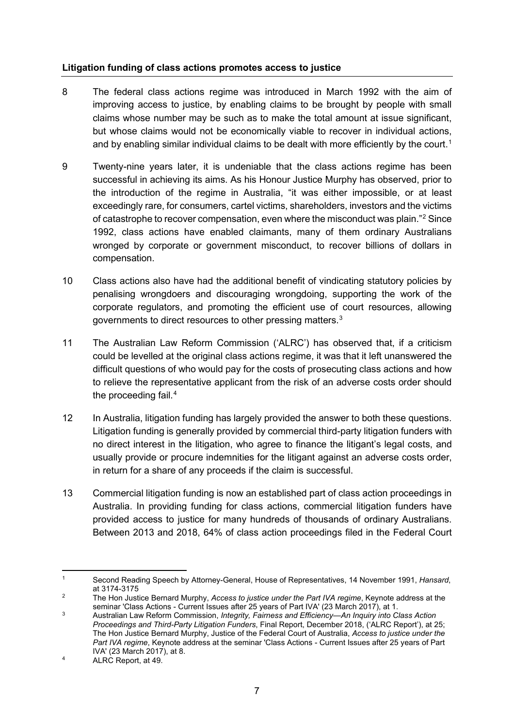#### **Litigation funding of class actions promotes access to justice**

- 8 The federal class actions regime was introduced in March 1992 with the aim of improving access to justice, by enabling claims to be brought by people with small claims whose number may be such as to make the total amount at issue significant, but whose claims would not be economically viable to recover in individual actions, and by enabling similar individual claims to be dealt with more efficiently by the court. $^{\text{\tiny{\text{1}}}}$  $^{\text{\tiny{\text{1}}}}$  $^{\text{\tiny{\text{1}}}}$
- 9 Twenty-nine years later, it is undeniable that the class actions regime has been successful in achieving its aims. As his Honour Justice Murphy has observed, prior to the introduction of the regime in Australia, "it was either impossible, or at least exceedingly rare, for consumers, cartel victims, shareholders, investors and the victims of catastrophe to recover compensation, even where the misconduct was plain."[2](#page-6-1) Since 1992, class actions have enabled claimants, many of them ordinary Australians wronged by corporate or government misconduct, to recover billions of dollars in compensation.
- 10 Class actions also have had the additional benefit of vindicating statutory policies by penalising wrongdoers and discouraging wrongdoing, supporting the work of the corporate regulators, and promoting the efficient use of court resources, allowing governments to direct resources to other pressing matters.<sup>[3](#page-6-2)</sup>
- 11 The Australian Law Reform Commission ('ALRC') has observed that, if a criticism could be levelled at the original class actions regime, it was that it left unanswered the difficult questions of who would pay for the costs of prosecuting class actions and how to relieve the representative applicant from the risk of an adverse costs order should the proceeding fail. $4$
- 12 In Australia, litigation funding has largely provided the answer to both these questions. Litigation funding is generally provided by commercial third-party litigation funders with no direct interest in the litigation, who agree to finance the litigant's legal costs, and usually provide or procure indemnities for the litigant against an adverse costs order, in return for a share of any proceeds if the claim is successful.
- 13 Commercial litigation funding is now an established part of class action proceedings in Australia. In providing funding for class actions, commercial litigation funders have provided access to justice for many hundreds of thousands of ordinary Australians. Between 2013 and 2018, 64% of class action proceedings filed in the Federal Court

<span id="page-6-0"></span><sup>1</sup> Second Reading Speech by Attorney-General, House of Representatives, 14 November 1991, *Hansard*, at 3174-3175

<span id="page-6-1"></span><sup>2</sup> The Hon Justice Bernard Murphy, *Access to justice under the Part IVA regime*, Keynote address at the seminar 'Class Actions - Current Issues after 25 years of Part IVA' (23 March 2017), at 1.

<span id="page-6-2"></span><sup>3</sup> Australian Law Reform Commission, *Integrity, Fairness and Efficiency—An Inquiry into Class Action Proceedings and Third-Party Litigation Funders*, Final Report, December 2018, ('ALRC Report'), at 25; The Hon Justice Bernard Murphy, Justice of the Federal Court of Australia, *Access to justice under the Part IVA regime*, Keynote address at the seminar 'Class Actions - Current Issues after 25 years of Part IVA' (23 March 2017), at 8.

<span id="page-6-3"></span><sup>4</sup> ALRC Report, at 49.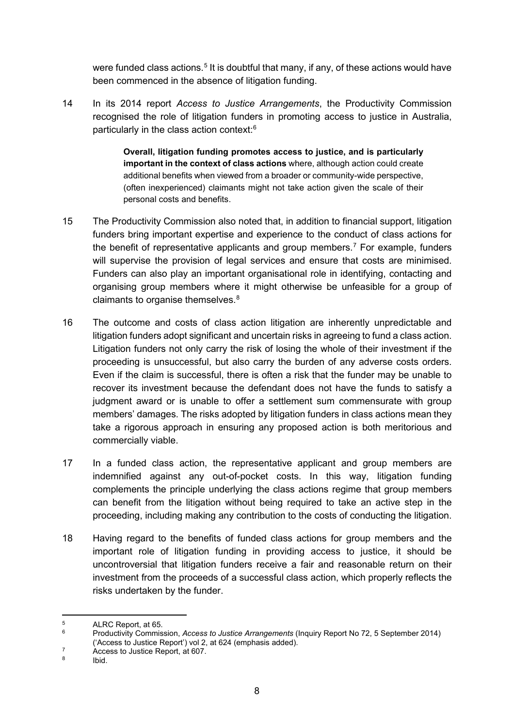were funded class actions.<sup>[5](#page-7-0)</sup> It is doubtful that many, if any, of these actions would have been commenced in the absence of litigation funding.

14 In its 2014 report *Access to Justice Arrangements*, the Productivity Commission recognised the role of litigation funders in promoting access to justice in Australia, particularly in the class action context: $^6$  $^6$ 

> **Overall, litigation funding promotes access to justice, and is particularly important in the context of class actions** where, although action could create additional benefits when viewed from a broader or community-wide perspective, (often inexperienced) claimants might not take action given the scale of their personal costs and benefits.

- 15 The Productivity Commission also noted that, in addition to financial support, litigation funders bring important expertise and experience to the conduct of class actions for the benefit of representative applicants and group members. [7](#page-7-2) For example, funders will supervise the provision of legal services and ensure that costs are minimised. Funders can also play an important organisational role in identifying, contacting and organising group members where it might otherwise be unfeasible for a group of claimants to organise themselves.<sup>[8](#page-7-3)</sup>
- 16 The outcome and costs of class action litigation are inherently unpredictable and litigation funders adopt significant and uncertain risks in agreeing to fund a class action. Litigation funders not only carry the risk of losing the whole of their investment if the proceeding is unsuccessful, but also carry the burden of any adverse costs orders. Even if the claim is successful, there is often a risk that the funder may be unable to recover its investment because the defendant does not have the funds to satisfy a judgment award or is unable to offer a settlement sum commensurate with group members' damages. The risks adopted by litigation funders in class actions mean they take a rigorous approach in ensuring any proposed action is both meritorious and commercially viable.
- 17 In a funded class action, the representative applicant and group members are indemnified against any out-of-pocket costs. In this way, litigation funding complements the principle underlying the class actions regime that group members can benefit from the litigation without being required to take an active step in the proceeding, including making any contribution to the costs of conducting the litigation.
- 18 Having regard to the benefits of funded class actions for group members and the important role of litigation funding in providing access to justice, it should be uncontroversial that litigation funders receive a fair and reasonable return on their investment from the proceeds of a successful class action, which properly reflects the risks undertaken by the funder.

<span id="page-7-1"></span><span id="page-7-0"></span> $5$  ALRC Report, at 65.

<sup>6</sup> Productivity Commission, *Access to Justice Arrangements* (Inquiry Report No 72, 5 September 2014) ('Access to Justice Report') vol 2, at 624 (emphasis added).

<span id="page-7-2"></span> $7 \n  
\n7 \n  
\n6 \n  
\n1 \n  
\n1 \n  
\n1 \n  
\n1 \n  
\n1 \n  
\n1 \n  
\n1 \n  
\n1 \n  
\n1 \n  
\n1 \n  
\n2 \n  
\n3 \n  
\n4 \n  
\n5 \n  
\n6 \n  
\n8 \n  
\n9 \n  
\n1 \n  
\n1 \n  
\n1 \n  
\n1 \n  
\n1 \n  
\n1 \n  
\n2 \n  
\n5 \n  
\n6 \n  
\n1 \n  
\n1 \n  
\n1 \n  
\n2 \n  
\n3 \n  
\n4 \n  
\n5 \n  
\n6 \n$ 

<span id="page-7-3"></span>Ibid.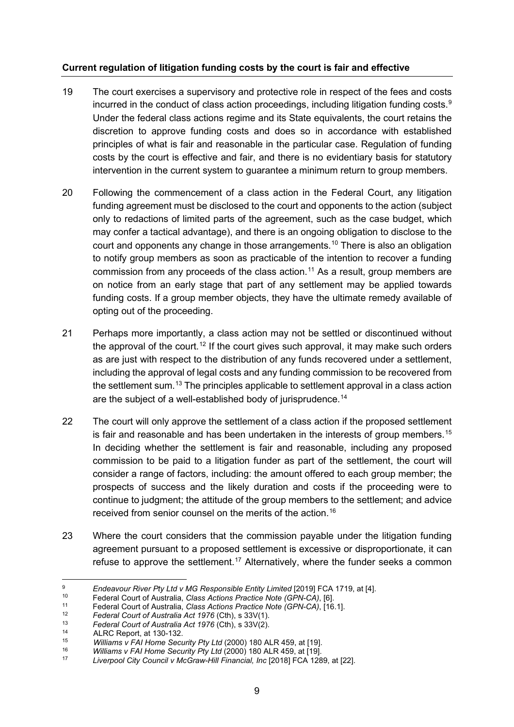#### **Current regulation of litigation funding costs by the court is fair and effective**

- 19 The court exercises a supervisory and protective role in respect of the fees and costs incurred in the conduct of class action proceedings, including litigation funding costs. $^{\rm 9}$  $^{\rm 9}$  $^{\rm 9}$ Under the federal class actions regime and its State equivalents, the court retains the discretion to approve funding costs and does so in accordance with established principles of what is fair and reasonable in the particular case. Regulation of funding costs by the court is effective and fair, and there is no evidentiary basis for statutory intervention in the current system to guarantee a minimum return to group members.
- 20 Following the commencement of a class action in the Federal Court, any litigation funding agreement must be disclosed to the court and opponents to the action (subject only to redactions of limited parts of the agreement, such as the case budget, which may confer a tactical advantage), and there is an ongoing obligation to disclose to the court and opponents any change in those arrangements.[10](#page-8-1) There is also an obligation to notify group members as soon as practicable of the intention to recover a funding commission from any proceeds of the class action.<sup>[11](#page-8-2)</sup> As a result, group members are on notice from an early stage that part of any settlement may be applied towards funding costs. If a group member objects, they have the ultimate remedy available of opting out of the proceeding.
- 21 Perhaps more importantly, a class action may not be settled or discontinued without the approval of the court.<sup>[12](#page-8-3)</sup> If the court gives such approval, it may make such orders as are just with respect to the distribution of any funds recovered under a settlement, including the approval of legal costs and any funding commission to be recovered from the settlement sum.<sup>[13](#page-8-4)</sup> The principles applicable to settlement approval in a class action are the subject of a well-established body of jurisprudence.<sup>[14](#page-8-5)</sup>
- 22 The court will only approve the settlement of a class action if the proposed settlement is fair and reasonable and has been undertaken in the interests of group members.<sup>[15](#page-8-6)</sup> In deciding whether the settlement is fair and reasonable, including any proposed commission to be paid to a litigation funder as part of the settlement, the court will consider a range of factors, including: the amount offered to each group member; the prospects of success and the likely duration and costs if the proceeding were to continue to judgment; the attitude of the group members to the settlement; and advice received from senior counsel on the merits of the action.[16](#page-8-7)
- 23 Where the court considers that the commission payable under the litigation funding agreement pursuant to a proposed settlement is excessive or disproportionate, it can refuse to approve the settlement.<sup>[17](#page-8-8)</sup> Alternatively, where the funder seeks a common

<span id="page-8-0"></span><sup>9</sup> *[Endeavour River Pty Ltd v MG Responsible Entity Limited](https://jade.io/)* [2019] FCA 1719, at [4].

<span id="page-8-1"></span><sup>10</sup> Federal Court of Australia, *Class Actions Practice Note (GPN-CA)*, [6].

<span id="page-8-2"></span><sup>11</sup> Federal Court of Australia, *Class Actions Practice Note (GPN-CA)*, [16.1].

<span id="page-8-3"></span><sup>12</sup> *Federal Court of Australia Act 1976* (Cth), s 33V(1).

<span id="page-8-4"></span><sup>13</sup> *Federal Court of Australia Act 1976* (Cth), s 33V(2).

<span id="page-8-5"></span><sup>&</sup>lt;sup>14</sup> ALRC Report, at 130-132.

<sup>15</sup> *Williams v FAI Home Security Pty Ltd* (2000) 180 ALR 459, at [19].

<span id="page-8-8"></span><span id="page-8-7"></span><span id="page-8-6"></span><sup>16</sup> *Williams v FAI Home Security Pty Ltd* (2000) 180 ALR 459, at [19].

<sup>17</sup> *Liverpool City Council v McGraw-Hill Financial, Inc* [2018] FCA 1289, at [22].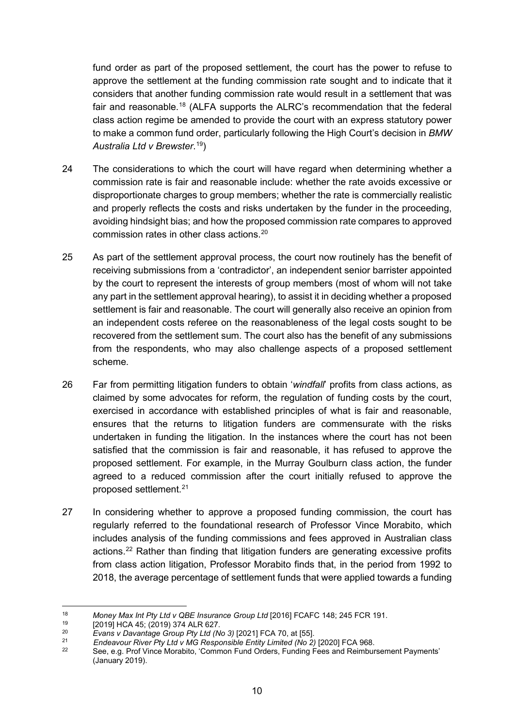fund order as part of the proposed settlement, the court has the power to refuse to approve the settlement at the funding commission rate sought and to indicate that it considers that another funding commission rate would result in a settlement that was fair and reasonable.<sup>[18](#page-9-0)</sup> (ALFA supports the ALRC's recommendation that the federal class action regime be amended to provide the court with an express statutory power to make a common fund order, particularly following the High Court's decision in *BMW Australia Ltd v Brewster*. [19\)](#page-9-1)

- 24 The considerations to which the court will have regard when determining whether a commission rate is fair and reasonable include: whether the rate avoids excessive or disproportionate charges to group members; whether the rate is commercially realistic and properly reflects the costs and risks undertaken by the funder in the proceeding, avoiding hindsight bias; and how the proposed commission rate compares to approved commission rates in other class actions.[20](#page-9-2)
- 25 As part of the settlement approval process, the court now routinely has the benefit of receiving submissions from a 'contradictor', an independent senior barrister appointed by the court to represent the interests of group members (most of whom will not take any part in the settlement approval hearing), to assist it in deciding whether a proposed settlement is fair and reasonable. The court will generally also receive an opinion from an independent costs referee on the reasonableness of the legal costs sought to be recovered from the settlement sum. The court also has the benefit of any submissions from the respondents, who may also challenge aspects of a proposed settlement scheme.
- 26 Far from permitting litigation funders to obtain '*windfall*' profits from class actions, as claimed by some advocates for reform, the regulation of funding costs by the court, exercised in accordance with established principles of what is fair and reasonable, ensures that the returns to litigation funders are commensurate with the risks undertaken in funding the litigation. In the instances where the court has not been satisfied that the commission is fair and reasonable, it has refused to approve the proposed settlement. For example, in the Murray Goulburn class action, the funder agreed to a reduced commission after the court initially refused to approve the proposed settlement.[21](#page-9-3)
- 27 In considering whether to approve a proposed funding commission, the court has regularly referred to the foundational research of Professor Vince Morabito, which includes analysis of the funding commissions and fees approved in Australian class actions.<sup>[22](#page-9-4)</sup> Rather than finding that litigation funders are generating excessive profits from class action litigation, Professor Morabito finds that, in the period from 1992 to 2018, the average percentage of settlement funds that were applied towards a funding

<span id="page-9-0"></span><sup>18</sup> *Money Max Int Pty Ltd v QBE Insurance Group Ltd* [2016] FCAFC 148; 245 FCR 191.

<span id="page-9-1"></span><sup>&</sup>lt;sup>19</sup> [2019] HCA 45; (2019) 374 ALR 627.

<span id="page-9-2"></span><sup>20</sup> *Evans v Davantage Group Pty Ltd (No 3)* [2021] FCA 70, at [55].

<span id="page-9-4"></span><span id="page-9-3"></span><sup>21</sup> *Endeavour River Pty Ltd v MG Responsible Entity Limited (No 2)* [2020] FCA 968.

See, e.g. Prof Vince Morabito, 'Common Fund Orders, Funding Fees and Reimbursement Payments' (January 2019).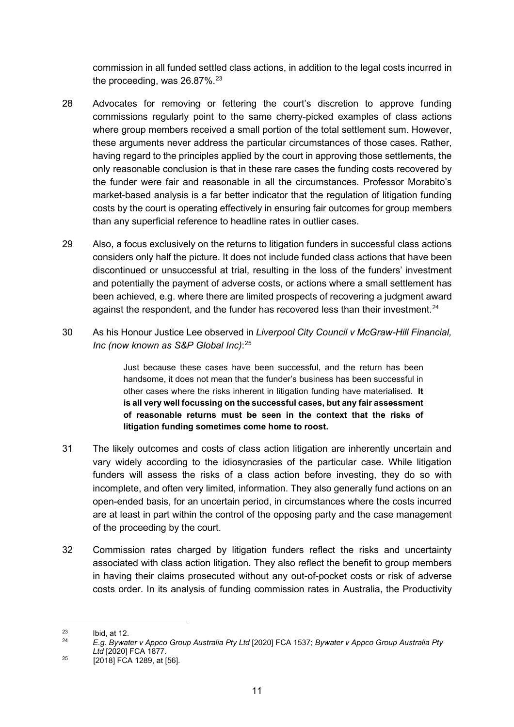commission in all funded settled class actions, in addition to the legal costs incurred in the proceeding, was  $26.87\%$ .<sup>[23](#page-10-0)</sup>

- 28 Advocates for removing or fettering the court's discretion to approve funding commissions regularly point to the same cherry-picked examples of class actions where group members received a small portion of the total settlement sum. However, these arguments never address the particular circumstances of those cases. Rather, having regard to the principles applied by the court in approving those settlements, the only reasonable conclusion is that in these rare cases the funding costs recovered by the funder were fair and reasonable in all the circumstances. Professor Morabito's market-based analysis is a far better indicator that the regulation of litigation funding costs by the court is operating effectively in ensuring fair outcomes for group members than any superficial reference to headline rates in outlier cases.
- 29 Also, a focus exclusively on the returns to litigation funders in successful class actions considers only half the picture. It does not include funded class actions that have been discontinued or unsuccessful at trial, resulting in the loss of the funders' investment and potentially the payment of adverse costs, or actions where a small settlement has been achieved, e.g. where there are limited prospects of recovering a judgment award against the respondent, and the funder has recovered less than their investment. $24$
- 30 As his Honour Justice Lee observed in *Liverpool City Council v McGraw-Hill Financial, Inc (now known as S&P Global Inc)*: [25](#page-10-2)

Just because these cases have been successful, and the return has been handsome, it does not mean that the funder's business has been successful in other cases where the risks inherent in litigation funding have materialised. **It is all very well focussing on the successful cases, but any fair assessment of reasonable returns must be seen in the context that the risks of litigation funding sometimes come home to roost.**

- 31 The likely outcomes and costs of class action litigation are inherently uncertain and vary widely according to the idiosyncrasies of the particular case. While litigation funders will assess the risks of a class action before investing, they do so with incomplete, and often very limited, information. They also generally fund actions on an open-ended basis, for an uncertain period, in circumstances where the costs incurred are at least in part within the control of the opposing party and the case management of the proceeding by the court.
- 32 Commission rates charged by litigation funders reflect the risks and uncertainty associated with class action litigation. They also reflect the benefit to group members in having their claims prosecuted without any out-of-pocket costs or risk of adverse costs order. In its analysis of funding commission rates in Australia, the Productivity

<span id="page-10-1"></span><sup>24</sup> *E.g. Bywater v Appco Group Australia Pty Ltd* [2020] FCA 1537; *Bywater v Appco Group Australia Pty Ltd* [2020] FCA 1877.

<span id="page-10-0"></span> $\begin{array}{ccc} 23 & \text{Ibid, at 12.} \\ 24 & \text{I.} \end{array}$ 

<span id="page-10-2"></span> $25$  [2018] FCA 1289, at [56].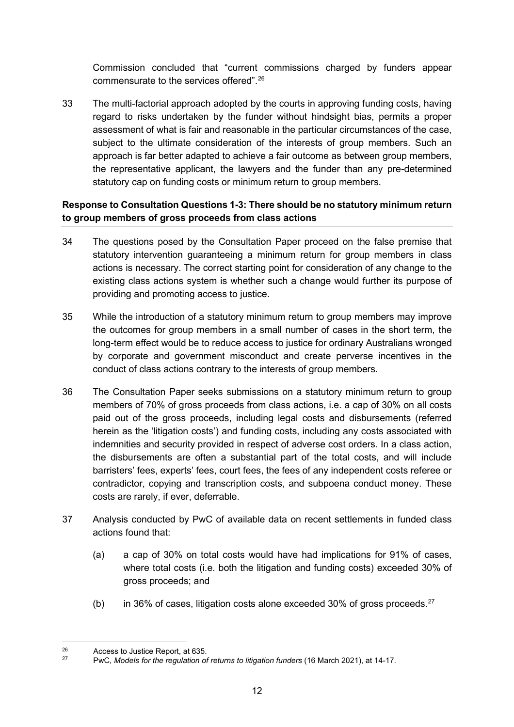Commission concluded that "current commissions charged by funders appear commensurate to the services offered".[26](#page-11-0)

33 The multi-factorial approach adopted by the courts in approving funding costs, having regard to risks undertaken by the funder without hindsight bias, permits a proper assessment of what is fair and reasonable in the particular circumstances of the case, subject to the ultimate consideration of the interests of group members. Such an approach is far better adapted to achieve a fair outcome as between group members, the representative applicant, the lawyers and the funder than any pre-determined statutory cap on funding costs or minimum return to group members.

## **Response to Consultation Questions 1-3: There should be no statutory minimum return to group members of gross proceeds from class actions**

- 34 The questions posed by the Consultation Paper proceed on the false premise that statutory intervention guaranteeing a minimum return for group members in class actions is necessary. The correct starting point for consideration of any change to the existing class actions system is whether such a change would further its purpose of providing and promoting access to justice.
- 35 While the introduction of a statutory minimum return to group members may improve the outcomes for group members in a small number of cases in the short term, the long-term effect would be to reduce access to justice for ordinary Australians wronged by corporate and government misconduct and create perverse incentives in the conduct of class actions contrary to the interests of group members.
- 36 The Consultation Paper seeks submissions on a statutory minimum return to group members of 70% of gross proceeds from class actions, i.e. a cap of 30% on all costs paid out of the gross proceeds, including legal costs and disbursements (referred herein as the 'litigation costs') and funding costs, including any costs associated with indemnities and security provided in respect of adverse cost orders. In a class action, the disbursements are often a substantial part of the total costs, and will include barristers' fees, experts' fees, court fees, the fees of any independent costs referee or contradictor, copying and transcription costs, and subpoena conduct money. These costs are rarely, if ever, deferrable.
- 37 Analysis conducted by PwC of available data on recent settlements in funded class actions found that:
	- (a) a cap of 30% on total costs would have had implications for 91% of cases, where total costs (i.e. both the litigation and funding costs) exceeded 30% of gross proceeds; and
	- (b) in 36% of cases, litigation costs alone exceeded 30% of gross proceeds. $27$

<span id="page-11-1"></span><span id="page-11-0"></span><sup>26</sup> Access to Justice Report, at 635.

<sup>27</sup> PwC, *Models for the regulation of returns to litigation funders* (16 March 2021), at 14-17.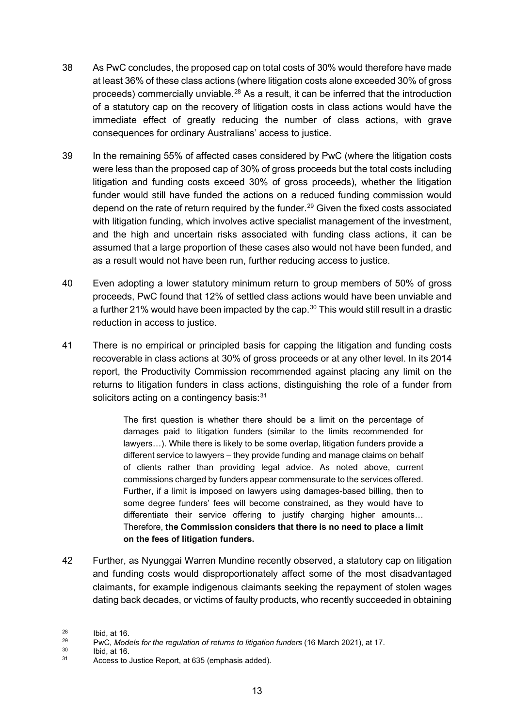- 38 As PwC concludes, the proposed cap on total costs of 30% would therefore have made at least 36% of these class actions (where litigation costs alone exceeded 30% of gross proceeds) commercially unviable.<sup>[28](#page-12-0)</sup> As a result, it can be inferred that the introduction of a statutory cap on the recovery of litigation costs in class actions would have the immediate effect of greatly reducing the number of class actions, with grave consequences for ordinary Australians' access to justice.
- 39 In the remaining 55% of affected cases considered by PwC (where the litigation costs were less than the proposed cap of 30% of gross proceeds but the total costs including litigation and funding costs exceed 30% of gross proceeds), whether the litigation funder would still have funded the actions on a reduced funding commission would depend on the rate of return required by the funder.<sup>[29](#page-12-1)</sup> Given the fixed costs associated with litigation funding, which involves active specialist management of the investment, and the high and uncertain risks associated with funding class actions, it can be assumed that a large proportion of these cases also would not have been funded, and as a result would not have been run, further reducing access to justice.
- 40 Even adopting a lower statutory minimum return to group members of 50% of gross proceeds, PwC found that 12% of settled class actions would have been unviable and a further 21% would have been impacted by the cap.<sup>[30](#page-12-2)</sup> This would still result in a drastic reduction in access to justice.
- 41 There is no empirical or principled basis for capping the litigation and funding costs recoverable in class actions at 30% of gross proceeds or at any other level. In its 2014 report, the Productivity Commission recommended against placing any limit on the returns to litigation funders in class actions, distinguishing the role of a funder from solicitors acting on a contingency basis: $31$

The first question is whether there should be a limit on the percentage of damages paid to litigation funders (similar to the limits recommended for lawyers…). While there is likely to be some overlap, litigation funders provide a different service to lawyers – they provide funding and manage claims on behalf of clients rather than providing legal advice. As noted above, current commissions charged by funders appear commensurate to the services offered. Further, if a limit is imposed on lawyers using damages-based billing, then to some degree funders' fees will become constrained, as they would have to differentiate their service offering to justify charging higher amounts… Therefore, **the Commission considers that there is no need to place a limit on the fees of litigation funders.**

42 Further, as Nyunggai Warren Mundine recently observed, a statutory cap on litigation and funding costs would disproportionately affect some of the most disadvantaged claimants, for example indigenous claimants seeking the repayment of stolen wages dating back decades, or victims of faulty products, who recently succeeded in obtaining

<span id="page-12-2"></span> $\frac{30}{31}$  Ibid, at 16.

<span id="page-12-0"></span> $^{28}$  Ibid, at 16.

<span id="page-12-1"></span><sup>29</sup> PwC, *Models for the regulation of returns to litigation funders* (16 March 2021), at 17.

<span id="page-12-3"></span>Access to Justice Report, at 635 (emphasis added).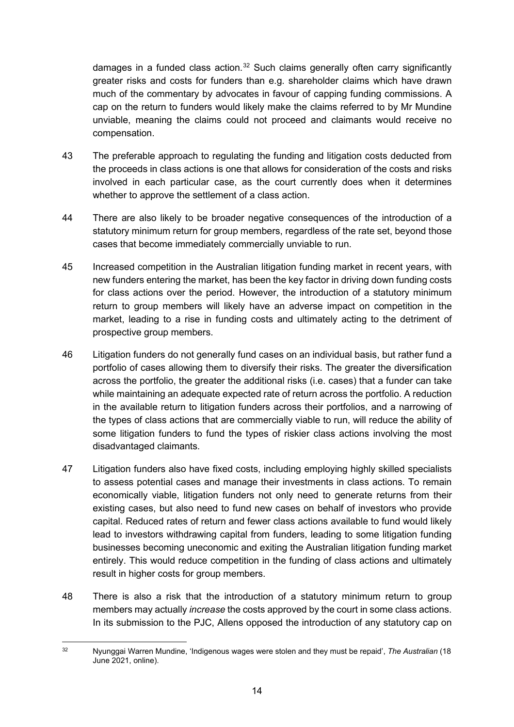damages in a funded class action.<sup>[32](#page-13-0)</sup> Such claims generally often carry significantly greater risks and costs for funders than e.g. shareholder claims which have drawn much of the commentary by advocates in favour of capping funding commissions. A cap on the return to funders would likely make the claims referred to by Mr Mundine unviable, meaning the claims could not proceed and claimants would receive no compensation.

- 43 The preferable approach to regulating the funding and litigation costs deducted from the proceeds in class actions is one that allows for consideration of the costs and risks involved in each particular case, as the court currently does when it determines whether to approve the settlement of a class action.
- 44 There are also likely to be broader negative consequences of the introduction of a statutory minimum return for group members, regardless of the rate set, beyond those cases that become immediately commercially unviable to run.
- 45 Increased competition in the Australian litigation funding market in recent years, with new funders entering the market, has been the key factor in driving down funding costs for class actions over the period. However, the introduction of a statutory minimum return to group members will likely have an adverse impact on competition in the market, leading to a rise in funding costs and ultimately acting to the detriment of prospective group members.
- 46 Litigation funders do not generally fund cases on an individual basis, but rather fund a portfolio of cases allowing them to diversify their risks. The greater the diversification across the portfolio, the greater the additional risks (i.e. cases) that a funder can take while maintaining an adequate expected rate of return across the portfolio. A reduction in the available return to litigation funders across their portfolios, and a narrowing of the types of class actions that are commercially viable to run, will reduce the ability of some litigation funders to fund the types of riskier class actions involving the most disadvantaged claimants.
- 47 Litigation funders also have fixed costs, including employing highly skilled specialists to assess potential cases and manage their investments in class actions. To remain economically viable, litigation funders not only need to generate returns from their existing cases, but also need to fund new cases on behalf of investors who provide capital. Reduced rates of return and fewer class actions available to fund would likely lead to investors withdrawing capital from funders, leading to some litigation funding businesses becoming uneconomic and exiting the Australian litigation funding market entirely. This would reduce competition in the funding of class actions and ultimately result in higher costs for group members.
- 48 There is also a risk that the introduction of a statutory minimum return to group members may actually *increase* the costs approved by the court in some class actions. In its submission to the PJC, Allens opposed the introduction of any statutory cap on

<span id="page-13-0"></span><sup>32</sup> Nyunggai Warren Mundine, 'Indigenous wages were stolen and they must be repaid', *The Australian* (18 June 2021, online).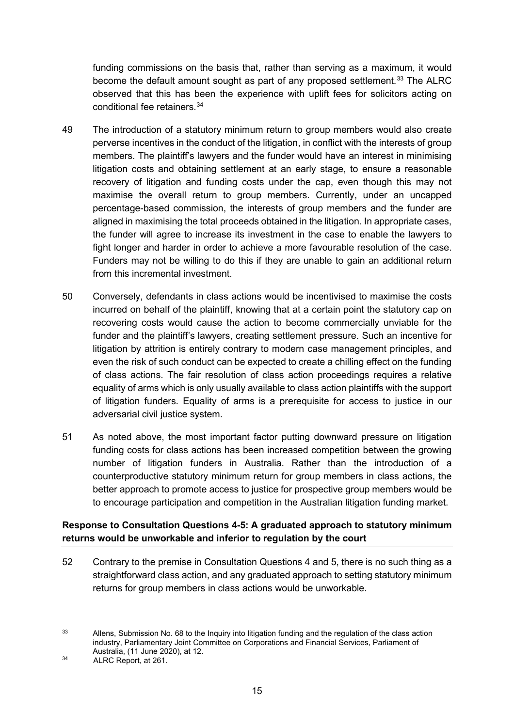funding commissions on the basis that, rather than serving as a maximum, it would become the default amount sought as part of any proposed settlement.<sup>[33](#page-14-0)</sup> The ALRC observed that this has been the experience with uplift fees for solicitors acting on conditional fee retainers.[34](#page-14-1)

- 49 The introduction of a statutory minimum return to group members would also create perverse incentives in the conduct of the litigation, in conflict with the interests of group members. The plaintiff's lawyers and the funder would have an interest in minimising litigation costs and obtaining settlement at an early stage, to ensure a reasonable recovery of litigation and funding costs under the cap, even though this may not maximise the overall return to group members. Currently, under an uncapped percentage-based commission, the interests of group members and the funder are aligned in maximising the total proceeds obtained in the litigation. In appropriate cases, the funder will agree to increase its investment in the case to enable the lawyers to fight longer and harder in order to achieve a more favourable resolution of the case. Funders may not be willing to do this if they are unable to gain an additional return from this incremental investment.
- 50 Conversely, defendants in class actions would be incentivised to maximise the costs incurred on behalf of the plaintiff, knowing that at a certain point the statutory cap on recovering costs would cause the action to become commercially unviable for the funder and the plaintiff's lawyers, creating settlement pressure. Such an incentive for litigation by attrition is entirely contrary to modern case management principles, and even the risk of such conduct can be expected to create a chilling effect on the funding of class actions. The fair resolution of class action proceedings requires a relative equality of arms which is only usually available to class action plaintiffs with the support of litigation funders. Equality of arms is a prerequisite for access to justice in our adversarial civil justice system.
- 51 As noted above, the most important factor putting downward pressure on litigation funding costs for class actions has been increased competition between the growing number of litigation funders in Australia. Rather than the introduction of a counterproductive statutory minimum return for group members in class actions, the better approach to promote access to justice for prospective group members would be to encourage participation and competition in the Australian litigation funding market.

## **Response to Consultation Questions 4-5: A graduated approach to statutory minimum returns would be unworkable and inferior to regulation by the court**

52 Contrary to the premise in Consultation Questions 4 and 5, there is no such thing as a straightforward class action, and any graduated approach to setting statutory minimum returns for group members in class actions would be unworkable.

<span id="page-14-0"></span><sup>&</sup>lt;sup>33</sup> Allens, Submission No. 68 to the Inquiry into litigation funding and the regulation of the class action industry, Parliamentary Joint Committee on Corporations and Financial Services, Parliament of Australia, (11 June 2020), at 12.

<span id="page-14-1"></span><sup>&</sup>lt;sup>34</sup> ALRC Report, at 261.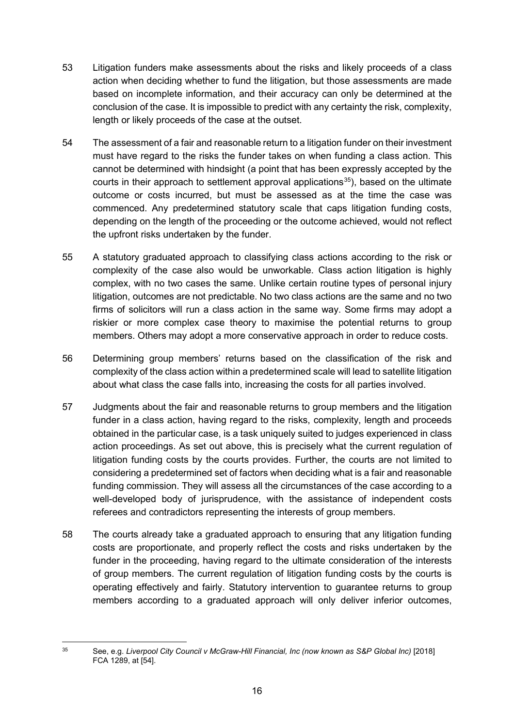- 53 Litigation funders make assessments about the risks and likely proceeds of a class action when deciding whether to fund the litigation, but those assessments are made based on incomplete information, and their accuracy can only be determined at the conclusion of the case. It is impossible to predict with any certainty the risk, complexity, length or likely proceeds of the case at the outset.
- 54 The assessment of a fair and reasonable return to a litigation funder on their investment must have regard to the risks the funder takes on when funding a class action. This cannot be determined with hindsight (a point that has been expressly accepted by the courts in their approach to settlement approval applications<sup>[35](#page-15-0)</sup>), based on the ultimate outcome or costs incurred, but must be assessed as at the time the case was commenced. Any predetermined statutory scale that caps litigation funding costs, depending on the length of the proceeding or the outcome achieved, would not reflect the upfront risks undertaken by the funder.
- 55 A statutory graduated approach to classifying class actions according to the risk or complexity of the case also would be unworkable. Class action litigation is highly complex, with no two cases the same. Unlike certain routine types of personal injury litigation, outcomes are not predictable. No two class actions are the same and no two firms of solicitors will run a class action in the same way. Some firms may adopt a riskier or more complex case theory to maximise the potential returns to group members. Others may adopt a more conservative approach in order to reduce costs.
- 56 Determining group members' returns based on the classification of the risk and complexity of the class action within a predetermined scale will lead to satellite litigation about what class the case falls into, increasing the costs for all parties involved.
- 57 Judgments about the fair and reasonable returns to group members and the litigation funder in a class action, having regard to the risks, complexity, length and proceeds obtained in the particular case, is a task uniquely suited to judges experienced in class action proceedings. As set out above, this is precisely what the current regulation of litigation funding costs by the courts provides. Further, the courts are not limited to considering a predetermined set of factors when deciding what is a fair and reasonable funding commission. They will assess all the circumstances of the case according to a well-developed body of jurisprudence, with the assistance of independent costs referees and contradictors representing the interests of group members.
- 58 The courts already take a graduated approach to ensuring that any litigation funding costs are proportionate, and properly reflect the costs and risks undertaken by the funder in the proceeding, having regard to the ultimate consideration of the interests of group members. The current regulation of litigation funding costs by the courts is operating effectively and fairly. Statutory intervention to guarantee returns to group members according to a graduated approach will only deliver inferior outcomes,

<span id="page-15-0"></span><sup>35</sup> See, e.g. *Liverpool City Council v McGraw-Hill Financial, Inc (now known as S&P Global Inc)* [2018] FCA 1289, at [54].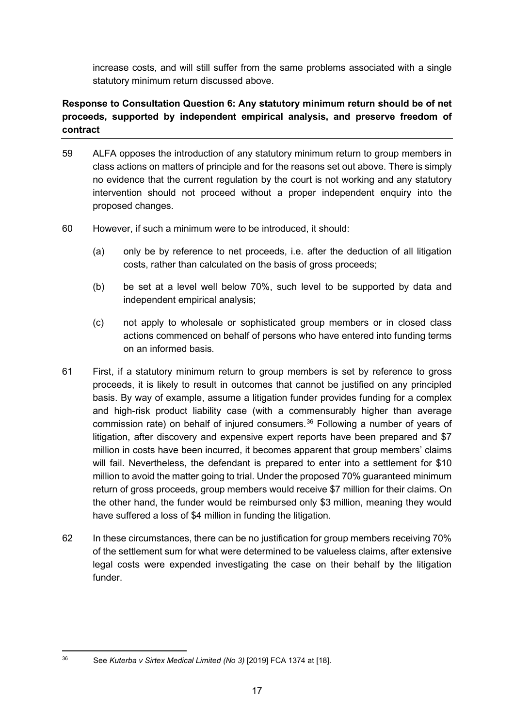increase costs, and will still suffer from the same problems associated with a single statutory minimum return discussed above.

## **Response to Consultation Question 6: Any statutory minimum return should be of net proceeds, supported by independent empirical analysis, and preserve freedom of contract**

- 59 ALFA opposes the introduction of any statutory minimum return to group members in class actions on matters of principle and for the reasons set out above. There is simply no evidence that the current regulation by the court is not working and any statutory intervention should not proceed without a proper independent enquiry into the proposed changes.
- 60 However, if such a minimum were to be introduced, it should:
	- (a) only be by reference to net proceeds, i.e. after the deduction of all litigation costs, rather than calculated on the basis of gross proceeds;
	- (b) be set at a level well below 70%, such level to be supported by data and independent empirical analysis;
	- (c) not apply to wholesale or sophisticated group members or in closed class actions commenced on behalf of persons who have entered into funding terms on an informed basis.
- 61 First, if a statutory minimum return to group members is set by reference to gross proceeds, it is likely to result in outcomes that cannot be justified on any principled basis. By way of example, assume a litigation funder provides funding for a complex and high-risk product liability case (with a commensurably higher than average commission rate) on behalf of injured consumers. $36$  Following a number of years of litigation, after discovery and expensive expert reports have been prepared and \$7 million in costs have been incurred, it becomes apparent that group members' claims will fail. Nevertheless, the defendant is prepared to enter into a settlement for \$10 million to avoid the matter going to trial. Under the proposed 70% guaranteed minimum return of gross proceeds, group members would receive \$7 million for their claims. On the other hand, the funder would be reimbursed only \$3 million, meaning they would have suffered a loss of \$4 million in funding the litigation.
- 62 In these circumstances, there can be no justification for group members receiving 70% of the settlement sum for what were determined to be valueless claims, after extensive legal costs were expended investigating the case on their behalf by the litigation funder.

<span id="page-16-0"></span><sup>36</sup> See *Kuterba v Sirtex Medical Limited (No 3)* [2019] FCA 1374 at [18].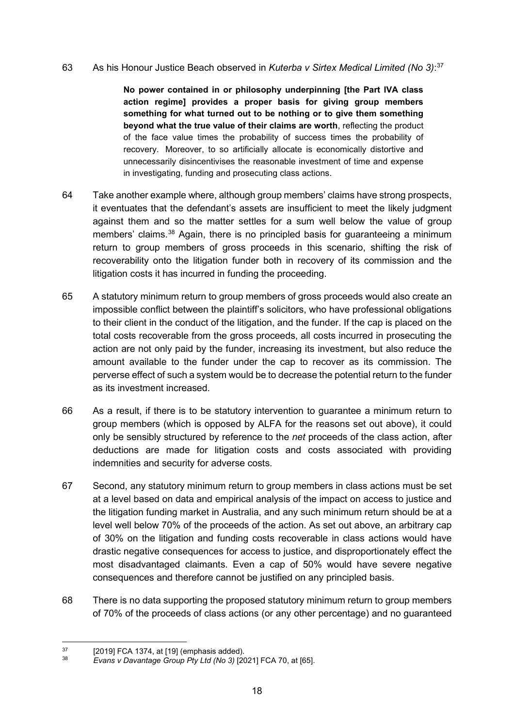#### 63 As his Honour Justice Beach observed in *Kuterba v Sirtex Medical Limited (No 3)*: [37](#page-17-0)

**No power contained in or philosophy underpinning [the Part IVA class action regime] provides a proper basis for giving group members something for what turned out to be nothing or to give them something beyond what the true value of their claims are worth**, reflecting the product of the face value times the probability of success times the probability of recovery. Moreover, to so artificially allocate is economically distortive and unnecessarily disincentivises the reasonable investment of time and expense in investigating, funding and prosecuting class actions.

- 64 Take another example where, although group members' claims have strong prospects, it eventuates that the defendant's assets are insufficient to meet the likely judgment against them and so the matter settles for a sum well below the value of group members' claims.<sup>[38](#page-17-1)</sup> Again, there is no principled basis for quaranteeing a minimum return to group members of gross proceeds in this scenario, shifting the risk of recoverability onto the litigation funder both in recovery of its commission and the litigation costs it has incurred in funding the proceeding.
- 65 A statutory minimum return to group members of gross proceeds would also create an impossible conflict between the plaintiff's solicitors, who have professional obligations to their client in the conduct of the litigation, and the funder. If the cap is placed on the total costs recoverable from the gross proceeds, all costs incurred in prosecuting the action are not only paid by the funder, increasing its investment, but also reduce the amount available to the funder under the cap to recover as its commission. The perverse effect of such a system would be to decrease the potential return to the funder as its investment increased.
- 66 As a result, if there is to be statutory intervention to guarantee a minimum return to group members (which is opposed by ALFA for the reasons set out above), it could only be sensibly structured by reference to the *net* proceeds of the class action, after deductions are made for litigation costs and costs associated with providing indemnities and security for adverse costs.
- 67 Second, any statutory minimum return to group members in class actions must be set at a level based on data and empirical analysis of the impact on access to justice and the litigation funding market in Australia, and any such minimum return should be at a level well below 70% of the proceeds of the action. As set out above, an arbitrary cap of 30% on the litigation and funding costs recoverable in class actions would have drastic negative consequences for access to justice, and disproportionately effect the most disadvantaged claimants. Even a cap of 50% would have severe negative consequences and therefore cannot be justified on any principled basis.
- 68 There is no data supporting the proposed statutory minimum return to group members of 70% of the proceeds of class actions (or any other percentage) and no guaranteed

 $^{37}$  [2019] FCA 1374, at [19] (emphasis added).

<span id="page-17-1"></span><span id="page-17-0"></span><sup>38</sup> *Evans v Davantage Group Pty Ltd (No 3)* [2021] FCA 70, at [65].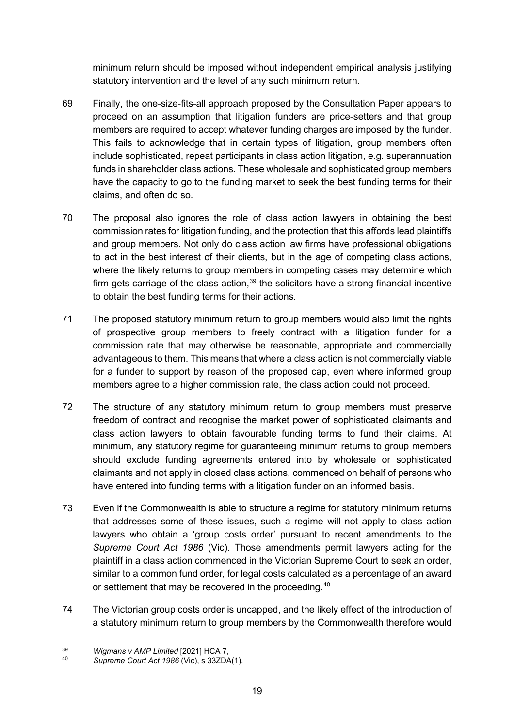minimum return should be imposed without independent empirical analysis justifying statutory intervention and the level of any such minimum return.

- 69 Finally, the one-size-fits-all approach proposed by the Consultation Paper appears to proceed on an assumption that litigation funders are price-setters and that group members are required to accept whatever funding charges are imposed by the funder. This fails to acknowledge that in certain types of litigation, group members often include sophisticated, repeat participants in class action litigation, e.g. superannuation funds in shareholder class actions. These wholesale and sophisticated group members have the capacity to go to the funding market to seek the best funding terms for their claims, and often do so.
- 70 The proposal also ignores the role of class action lawyers in obtaining the best commission rates for litigation funding, and the protection that this affords lead plaintiffs and group members. Not only do class action law firms have professional obligations to act in the best interest of their clients, but in the age of competing class actions, where the likely returns to group members in competing cases may determine which firm gets carriage of the class action,  $39$  the solicitors have a strong financial incentive to obtain the best funding terms for their actions.
- 71 The proposed statutory minimum return to group members would also limit the rights of prospective group members to freely contract with a litigation funder for a commission rate that may otherwise be reasonable, appropriate and commercially advantageous to them. This means that where a class action is not commercially viable for a funder to support by reason of the proposed cap, even where informed group members agree to a higher commission rate, the class action could not proceed.
- 72 The structure of any statutory minimum return to group members must preserve freedom of contract and recognise the market power of sophisticated claimants and class action lawyers to obtain favourable funding terms to fund their claims. At minimum, any statutory regime for guaranteeing minimum returns to group members should exclude funding agreements entered into by wholesale or sophisticated claimants and not apply in closed class actions, commenced on behalf of persons who have entered into funding terms with a litigation funder on an informed basis.
- 73 Even if the Commonwealth is able to structure a regime for statutory minimum returns that addresses some of these issues, such a regime will not apply to class action lawyers who obtain a 'group costs order' pursuant to recent amendments to the *Supreme Court Act 1986* (Vic). Those amendments permit lawyers acting for the plaintiff in a class action commenced in the Victorian Supreme Court to seek an order, similar to a common fund order, for legal costs calculated as a percentage of an award or settlement that may be recovered in the proceeding.<sup>[40](#page-18-1)</sup>
- 74 The Victorian group costs order is uncapped, and the likely effect of the introduction of a statutory minimum return to group members by the Commonwealth therefore would

<span id="page-18-0"></span><sup>39</sup> *Wigmans v AMP Limited* [2021] HCA 7,

<span id="page-18-1"></span><sup>40</sup> *Supreme Court Act 1986* (Vic), s 33ZDA(1).